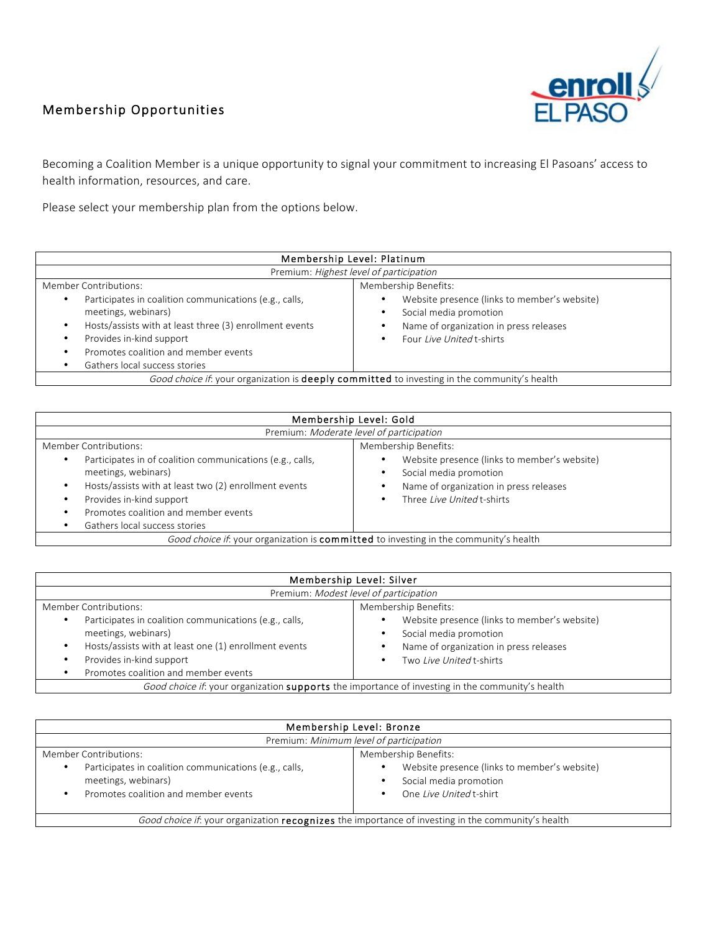## Membership Opportunities



Becoming a Coalition Member is a unique opportunity to signal your commitment to increasing El Pasoans' access to health information, resources, and care.

Please select your membership plan from the options below.

| Membership Level: Platinum                                                                                                                                                                                                                         |                                                                                                                                               |  |  |
|----------------------------------------------------------------------------------------------------------------------------------------------------------------------------------------------------------------------------------------------------|-----------------------------------------------------------------------------------------------------------------------------------------------|--|--|
| Premium: Highest level of participation                                                                                                                                                                                                            |                                                                                                                                               |  |  |
| Member Contributions:                                                                                                                                                                                                                              | Membership Benefits:                                                                                                                          |  |  |
| Participates in coalition communications (e.g., calls,<br>٠<br>meetings, webinars)<br>Hosts/assists with at least three (3) enrollment events<br>Provides in-kind support<br>Promotes coalition and member events<br>Gathers local success stories | Website presence (links to member's website)<br>Social media promotion<br>Name of organization in press releases<br>Four Live United t-shirts |  |  |
| Good choice if: your organization is <b>deeply committed</b> to investing in the community's health                                                                                                                                                |                                                                                                                                               |  |  |

| Membership Level: Gold                                                                                                                                                                                                                 |                                                                                                                                                                        |  |  |
|----------------------------------------------------------------------------------------------------------------------------------------------------------------------------------------------------------------------------------------|------------------------------------------------------------------------------------------------------------------------------------------------------------------------|--|--|
| Premium: Moderate level of participation                                                                                                                                                                                               |                                                                                                                                                                        |  |  |
| Member Contributions:<br>Participates in of coalition communications (e.g., calls,<br>meetings, webinars)<br>Hosts/assists with at least two (2) enrollment events<br>Provides in-kind support<br>Promotes coalition and member events | Membership Benefits:<br>Website presence (links to member's website)<br>Social media promotion<br>Name of organization in press releases<br>Three Live United t-shirts |  |  |
| Gathers local success stories                                                                                                                                                                                                          |                                                                                                                                                                        |  |  |
| Good choice if. your organization is committed to investing in the community's health                                                                                                                                                  |                                                                                                                                                                        |  |  |

| Membership Level: Silver                                                                                                                                                                                                          |                                                                                                                                              |  |  |
|-----------------------------------------------------------------------------------------------------------------------------------------------------------------------------------------------------------------------------------|----------------------------------------------------------------------------------------------------------------------------------------------|--|--|
| Premium: Modest level of participation                                                                                                                                                                                            |                                                                                                                                              |  |  |
| Membership Benefits:<br>Member Contributions:                                                                                                                                                                                     |                                                                                                                                              |  |  |
| Participates in coalition communications (e.g., calls,<br>$\bullet$<br>meetings, webinars)<br>Hosts/assists with at least one (1) enrollment events<br>٠<br>Provides in-kind support<br>٠<br>Promotes coalition and member events | Website presence (links to member's website)<br>Social media promotion<br>Name of organization in press releases<br>Two Live United t-shirts |  |  |
| Good choice if. your organization supports the importance of investing in the community's health                                                                                                                                  |                                                                                                                                              |  |  |

| Membership Level: Bronze                                                                                                                        |                                                                                                   |  |  |
|-------------------------------------------------------------------------------------------------------------------------------------------------|---------------------------------------------------------------------------------------------------|--|--|
| Premium: Minimum level of participation                                                                                                         |                                                                                                   |  |  |
| Membership Benefits:<br>Member Contributions:                                                                                                   |                                                                                                   |  |  |
| Participates in coalition communications (e.g., calls,<br>$\bullet$<br>meetings, webinars)<br>Promotes coalition and member events<br>$\bullet$ | Website presence (links to member's website)<br>Social media promotion<br>One Live United t-shirt |  |  |
| Good choice if: your organization <b>recognizes</b> the importance of investing in the community's health                                       |                                                                                                   |  |  |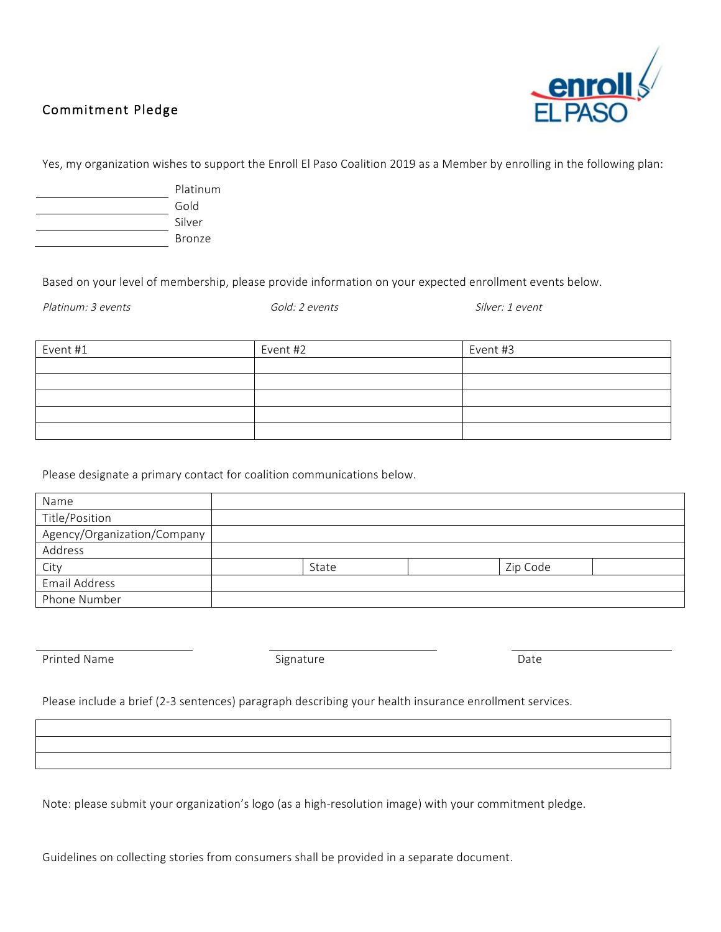## Commitment Pledge



Yes, my organization wishes to support the Enroll El Paso Coalition 2019 as a Member by enrolling in the following plan:

| Platinum |  |
|----------|--|
| Gold     |  |
| Silver   |  |
| Bronze   |  |

Based on your level of membership, please provide information on your expected enrollment events below.

Platinum: 3 events exercises and the Gold: 2 events contract and the Silver: 1 event

| Event #1 | Event #2 | Event #3 |
|----------|----------|----------|
|          |          |          |
|          |          |          |
|          |          |          |
|          |          |          |
|          |          |          |

Please designate a primary contact for coalition communications below.

| Name                        |       |          |  |
|-----------------------------|-------|----------|--|
| Title/Position              |       |          |  |
| Agency/Organization/Company |       |          |  |
| Address                     |       |          |  |
| City                        | State | Zip Code |  |
| Email Address               |       |          |  |
| Phone Number                |       |          |  |

Printed Name **Date Contract Signature Contract Signature Date Date** 

Please include a brief (2-3 sentences) paragraph describing your health insurance enrollment services.

Note: please submit your organization's logo (as a high-resolution image) with your commitment pledge.

Guidelines on collecting stories from consumers shall be provided in a separate document.